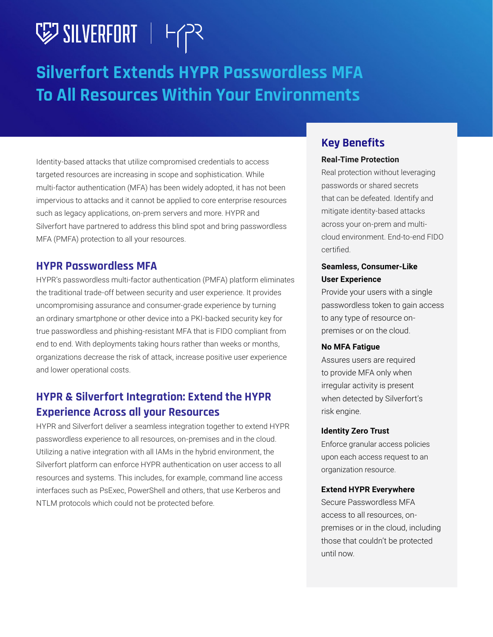## V SILVERFORT | HTP

## **Silverfort Extends HYPR Passwordless MFA To All Resources Within Your Environments**

Identity-based attacks that utilize compromised credentials to access targeted resources are increasing in scope and sophistication. While multi-factor authentication (MFA) has been widely adopted, it has not been impervious to attacks and it cannot be applied to core enterprise resources such as legacy applications, on-prem servers and more. HYPR and Silverfort have partnered to address this blind spot and bring passwordless MFA (PMFA) protection to all your resources.

### **HYPR Passwordless MFA**

HYPR's passwordless multi-factor authentication (PMFA) platform eliminates the traditional trade-off between security and user experience. It provides uncompromising assurance and consumer-grade experience by turning an ordinary smartphone or other device into a PKI-backed security key for true passwordless and phishing-resistant MFA that is FIDO compliant from end to end. With deployments taking hours rather than weeks or months, organizations decrease the risk of attack, increase positive user experience and lower operational costs.

## **HYPR & Silverfort Integration: Extend the HYPR Experience Across all your Resources**

HYPR and Silverfort deliver a seamless integration together to extend HYPR passwordless experience to all resources, on-premises and in the cloud. Utilizing a native integration with all IAMs in the hybrid environment, the Silverfort platform can enforce HYPR authentication on user access to all resources and systems. This includes, for example, command line access interfaces such as PsExec, PowerShell and others, that use Kerberos and NTLM protocols which could not be protected before.

### **Key Benefits**

#### **Real-Time Protection**

Real protection without leveraging passwords or shared secrets that can be defeated. Identify and mitigate identity-based attacks across your on-prem and multicloud environment. End-to-end FIDO certified.

#### **Seamless, Consumer-Like User Experience**

Provide your users with a single passwordless token to gain access to any type of resource onpremises or on the cloud.

#### **No MFA Fatigue**

Assures users are required to provide MFA only when irregular activity is present when detected by Silverfort's risk engine.

#### **Identity Zero Trust**

Enforce granular access policies upon each access request to an organization resource.

#### **Extend HYPR Everywhere**

Secure Passwordless MFA access to all resources, onpremises or in the cloud, including those that couldn't be protected until now.